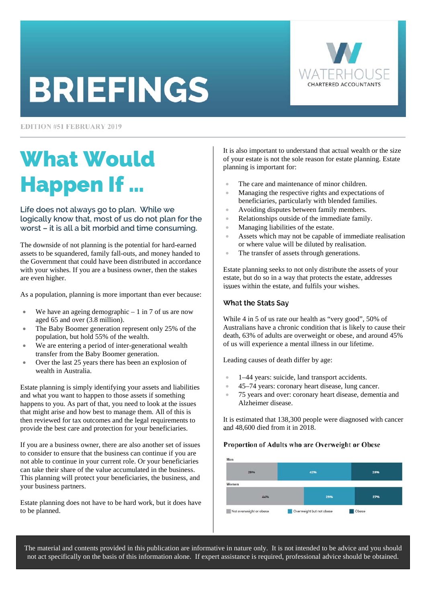# **BRIEFINGS**

**EDITION #51 FEBRUARY 2019** 

# What Would Happen If …

# **Life does not always go to plan. While we logically know that, most of us do not plan for the worst – it is all a bit morbid and time consuming.**

The downside of not planning is the potential for hard-earned assets to be squandered, family fall-outs, and money handed to the Government that could have been distributed in accordance with your wishes. If you are a business owner, then the stakes are even higher.

As a population, planning is more important than ever because:

- We have an ageing demographic  $-1$  in 7 of us are now aged 65 and over (3.8 million).
- The Baby Boomer generation represent only 25% of the population, but hold 55% of the wealth.
- We are entering a period of inter-generational wealth transfer from the Baby Boomer generation.
- Over the last 25 years there has been an explosion of wealth in Australia.

Estate planning is simply identifying your assets and liabilities and what you want to happen to those assets if something happens to you. As part of that, you need to look at the issues that might arise and how best to manage them. All of this is then reviewed for tax outcomes and the legal requirements to provide the best care and protection for your beneficiaries.

If you are a business owner, there are also another set of issues to consider to ensure that the business can continue if you are not able to continue in your current role. Or your beneficiaries can take their share of the value accumulated in the business. This planning will protect your beneficiaries, the business, and your business partners.

Estate planning does not have to be hard work, but it does have to be planned.

It is also important to understand that actual wealth or the size of your estate is not the sole reason for estate planning. Estate planning is important for:

- The care and maintenance of minor children.
- Managing the respective rights and expectations of beneficiaries, particularly with blended families.
- Avoiding disputes between family members.
- Relationships outside of the immediate family.
- Managing liabilities of the estate.
- Assets which may not be capable of immediate realisation or where value will be diluted by realisation.
- The transfer of assets through generations.

Estate planning seeks to not only distribute the assets of your estate, but do so in a way that protects the estate, addresses issues within the estate, and fulfils your wishes.

### What the Stats Say

While 4 in 5 of us rate our health as "very good", 50% of Australians have a chronic condition that is likely to cause their death, 63% of adults are overweight or obese, and around 45% of us will experience a mental illness in our lifetime.

Leading causes of death differ by age:

- 1–44 years: suicide, land transport accidents.
- 45–74 years: coronary heart disease, lung cancer.
- 75 years and over: coronary heart disease, dementia and Alzheimer disease.

It is estimated that 138,300 people were diagnosed with cancer and 48,600 died from it in 2018.

### Proportion of Adults who are Overweight or Obese



The material and contents provided in this publication are informative in nature only. It is not intended to be advice and you should not act specifically on the basis of this information alone. If expert assistance is required, professional advice should be obtained.

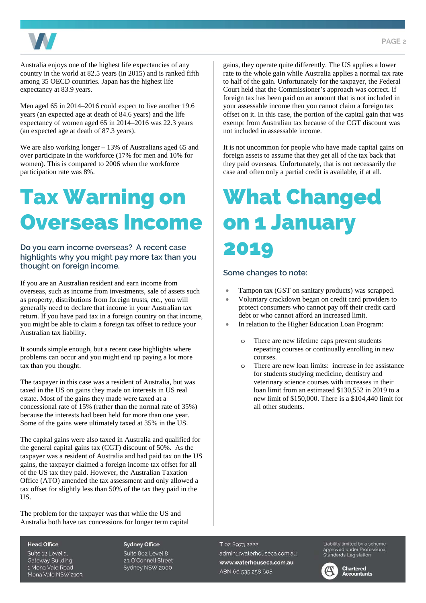

Australia enjoys one of the highest life expectancies of any country in the world at 82.5 years (in 2015) and is ranked fifth among 35 OECD countries. Japan has the highest life expectancy at 83.9 years.

Men aged 65 in 2014–2016 could expect to live another 19.6 years (an expected age at death of 84.6 years) and the life expectancy of women aged 65 in 2014–2016 was 22.3 years (an expected age at death of 87.3 years).

We are also working longer – 13% of Australians aged 65 and over participate in the workforce (17% for men and 10% for women). This is compared to 2006 when the workforce participation rate was 8%.

# Tax Warning on Overseas Income

**Do you earn income overseas? A recent case highlights why you might pay more tax than you thought on foreign income.** 

If you are an Australian resident and earn income from overseas, such as income from investments, sale of assets such as property, distributions from foreign trusts, etc., you will generally need to declare that income in your Australian tax return. If you have paid tax in a foreign country on that income, you might be able to claim a foreign tax offset to reduce your Australian tax liability.

It sounds simple enough, but a recent case highlights where problems can occur and you might end up paying a lot more tax than you thought.

The taxpayer in this case was a resident of Australia, but was taxed in the US on gains they made on interests in US real estate. Most of the gains they made were taxed at a concessional rate of 15% (rather than the normal rate of 35%) because the interests had been held for more than one year. Some of the gains were ultimately taxed at 35% in the US.

The capital gains were also taxed in Australia and qualified for the general capital gains tax (CGT) discount of 50%. As the taxpayer was a resident of Australia and had paid tax on the US gains, the taxpayer claimed a foreign income tax offset for all of the US tax they paid. However, the Australian Taxation Office (ATO) amended the tax assessment and only allowed a tax offset for slightly less than 50% of the tax they paid in the US.

The problem for the taxpayer was that while the US and Australia both have tax concessions for longer term capital gains, they operate quite differently. The US applies a lower rate to the whole gain while Australia applies a normal tax rate to half of the gain. Unfortunately for the taxpayer, the Federal Court held that the Commissioner's approach was correct. If foreign tax has been paid on an amount that is not included in your assessable income then you cannot claim a foreign tax offset on it. In this case, the portion of the capital gain that was exempt from Australian tax because of the CGT discount was not included in assessable income.

It is not uncommon for people who have made capital gains on foreign assets to assume that they get all of the tax back that they paid overseas. Unfortunately, that is not necessarily the case and often only a partial credit is available, if at all.

# What Changed on 1 January 2019

# **Some changes to note:**

- Tampon tax (GST on sanitary products) was scrapped.
- Voluntary crackdown began on credit card providers to protect consumers who cannot pay off their credit card debt or who cannot afford an increased limit.
- In relation to the Higher Education Loan Program:
	- o There are new lifetime caps prevent students repeating courses or continually enrolling in new courses.
	- o There are new loan limits: increase in fee assistance for students studying medicine, dentistry and veterinary science courses with increases in their loan limit from an estimated \$130,552 in 2019 to a new limit of \$150,000. There is a \$104,440 limit for all other students.

### **Head Office**

Suite 12 Level 3. **Gateway Building** 1 Mona Vale Road Mona Vale NSW 2103 **Sydney Office** Suite 802 Level 8 23 O'Connell Street Sydney NSW 2000

### T 02 8973 2222 admin@waterhouseca.com.au www.waterhouseca.com.au ABN 60 535 258 608

Liability limited by a scheme approved under Professional<br>Standards Legislation

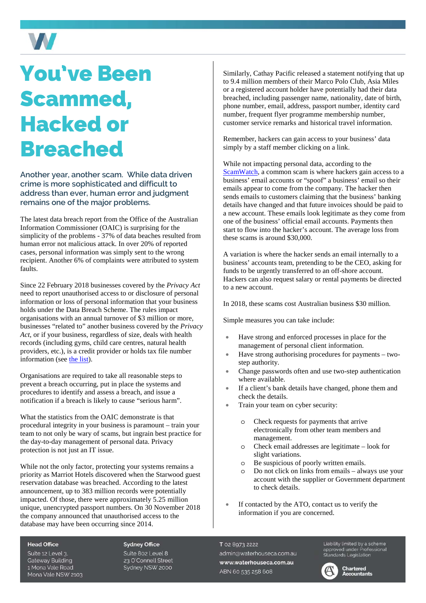# You've Been Scammed, Hacked or Breached

W

**Another year, another scam. While data driven crime is more sophisticated and difficult to address than ever, human error and judgment remains one of the major problems.** 

The latest data breach report from the Office of the Australian Information Commissioner (OAIC) is surprising for the simplicity of the problems - 37% of data beaches resulted from human error not malicious attack. In over 20% of reported cases, personal information was simply sent to the wrong recipient. Another 6% of complaints were attributed to system faults.

Since 22 February 2018 businesses covered by the *Privacy Act* need to report unauthorised access to or disclosure of personal information or loss of personal information that your business holds under the Data Breach Scheme. The rules impact organisations with an annual turnover of \$3 million or more, businesses "related to" another business covered by the *Privacy Act*, or if your business, regardless of size, deals with health records (including gyms, child care centres, natural health providers, etc.), is a credit provider or holds tax file number information (see [the list\)](https://www.oaic.gov.au/privacy-law/rights-and-responsibilities#who-has-responsibilities-under-the-privacy-act).

Organisations are required to take all reasonable steps to prevent a breach occurring, put in place the systems and procedures to identify and assess a breach, and issue a notification if a breach is likely to cause "serious harm".

What the statistics from the OAIC demonstrate is that procedural integrity in your business is paramount – train your team to not only be wary of scams, but ingrain best practice for the day-to-day management of personal data. Privacy protection is not just an IT issue.

While not the only factor, protecting your systems remains a priority as Marriot Hotels discovered when the Starwood guest reservation database was breached. According to the latest announcement, up to 383 million records were potentially impacted. Of those, there were approximately 5.25 million unique, unencrypted passport numbers. On 30 November 2018 the company announced that unauthorised access to the database may have been occurring since 2014.

Similarly, Cathay Pacific released a statement notifying that up to 9.4 million members of their Marco Polo Club, Asia Miles or a registered account holder have potentially had their data breached, including passenger name, nationality, date of birth, phone number, email, address, passport number, identity card number, frequent flyer programme membership number, customer service remarks and historical travel information.

Remember, hackers can gain access to your business' data simply by a staff member clicking on a link.

While not impacting personal data, according to the [ScamWatch,](https://www.scamwatch.gov.au/) a common scam is where hackers gain access to a business' email accounts or "spoof" a business' email so their emails appear to come from the company. The hacker then sends emails to customers claiming that the business' banking details have changed and that future invoices should be paid to a new account. These emails look legitimate as they come from one of the business' official email accounts. Payments then start to flow into the hacker's account. The average loss from these scams is around \$30,000.

A variation is where the hacker sends an email internally to a business' accounts team, pretending to be the CEO, asking for funds to be urgently transferred to an off-shore account. Hackers can also request salary or rental payments be directed to a new account.

In 2018, these scams cost Australian business \$30 million.

Simple measures you can take include:

- Have strong and enforced processes in place for the management of personal client information.
- Have strong authorising procedures for payments twostep authority.
- Change passwords often and use two-step authentication where available.
- If a client's bank details have changed, phone them and check the details.
- Train your team on cyber security:
	- o Check requests for payments that arrive electronically from other team members and management.
	- o Check email addresses are legitimate look for slight variations.
	- o Be suspicious of poorly written emails.
	- o Do not click on links from emails always use your account with the supplier or Government department to check details.
- If contacted by the ATO, contact us to verify the information if you are concerned.

#### **Head Office**

Suite 12 Level 3. **Gateway Building** 1 Mona Vale Road Mona Vale NSW 2103 **Sydney Office** 

Suite 802 Level 8 23 O'Connell Street Sydney NSW 2000

### T 02 8973 2222

admin@waterhouseca.com.au www.waterhouseca.com.au ABN 60 535 258 608

Liability limited by a scheme approved under Professional<br>approved under Professional<br>Standards Legislation



**Chartered**<br>Accountants